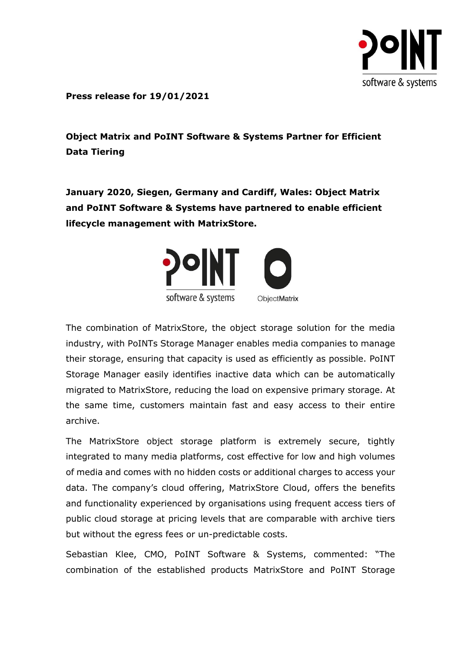

**Press release for 19/01/2021**

**Object Matrix and PoINT Software & Systems Partner for Efficient Data Tiering**

**January 2020, Siegen, Germany and Cardiff, Wales: Object Matrix and PoINT Software & Systems have partnered to enable efficient lifecycle management with MatrixStore.**



The combination of MatrixStore, the object storage solution for the media industry, with PoINTs Storage Manager enables media companies to manage their storage, ensuring that capacity is used as efficiently as possible. PoINT Storage Manager easily identifies inactive data which can be automatically migrated to MatrixStore, reducing the load on expensive primary storage. At the same time, customers maintain fast and easy access to their entire archive.

The MatrixStore object storage platform is extremely secure, tightly integrated to many media platforms, cost effective for low and high volumes of media and comes with no hidden costs or additional charges to access your data. The company's cloud offering, MatrixStore Cloud, offers the benefits and functionality experienced by organisations using frequent access tiers of public cloud storage at pricing levels that are comparable with archive tiers but without the egress fees or un-predictable costs.

Sebastian Klee, CMO, PoINT Software & Systems, commented: "The combination of the established products MatrixStore and PoINT Storage